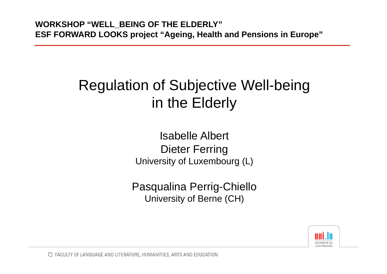#### Regulation of Subjective Well-being in the Elderly

Isabelle Albert Dieter Ferring University of Luxembourg (L)

Pasqualina Perrig-Chiello University of Berne (CH)

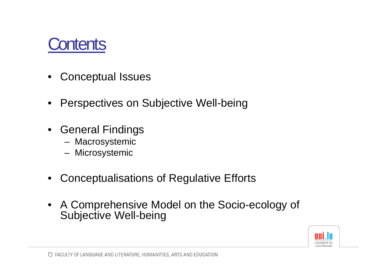

- •Conceptual Issues
- •Perspectives on Subjective Well-being
- General Findings
	- Macrosystemic
	- Microsystemic
- $\bullet$ Conceptualisations of Regulative Efforts
- A Comprehensive Model on the Socio-ecology of Subjective Well-being

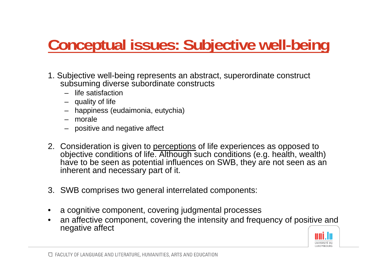# **Conceptual issues: Subjective well-being**

- 1. Subjective well-being represents an abstract, superordinate construct subsuming diverse subordinate constructs
	- life satisfaction
	- quality of life
	- happiness (eudaimonia, eutychia)
	- morale
	- positive and negative affect
- 2. Consideration is given to <u>perceptions</u> of life experiences as opposed to objective conditions of life. Although such conditions (e.g. health, wealth) have to be seen as potential influences on SWB, they are not seen as an inherent and necessary part of it.
- 3. SWB comprises two general interrelated components:
- •a cognitive component, covering judgmental processes
- • an affective component, covering the intensity and frequency of positive and negative affect

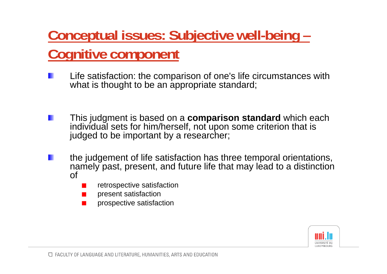### **Conceptual issues: Subjective well-being – Cognitive component**

- Life satisfaction: the comparison of one's life circumstances with what is thought to be an appropriate standard;
- This judgment is based on a **comparison standard** which each individual sets for him/herself, not upon some criterion that is judged to be important by a researcher;
- the judgement of life satisfaction has three temporal orientations, namely past, present, and future life that may lead to a distinction of
	- retrospective satisfaction
	- present satisfaction
	- prospective satisfaction

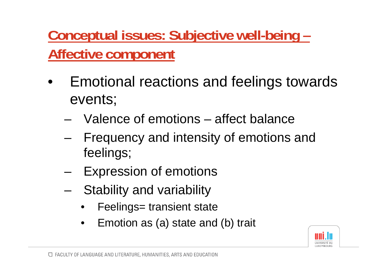**Conceptual issues: Subjective well-being – Affective component**

- • Emotional reactions and feelings towards events;
	- Valence of emotions affect balance
	- – Frequency and intensity of emotions and feelings;
	- –Expression of emotions
	- – Stability and variability
		- $\bullet$ Feelings= transient state
		- $\bullet$ Emotion as (a) state and (b) trait

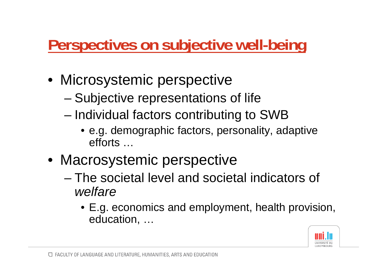# **Perspectives on subjective well-being**

- Microsystemic perspective
	- –Subjective representations of life
	- Individual factors contributing to SWB
		- e.g. demographic factors, personality, adaptive efforts …
- Macrosystemic perspective
	- The societal level and societal indicators of *welfare*
		- E.g. economics and employment, health provision, education, …

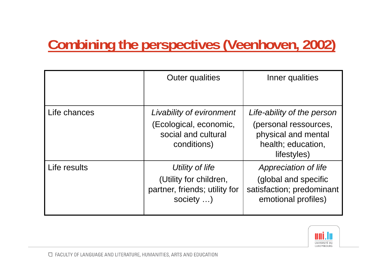### **Combining the perspectives (Veenhoven, 2002)**

|              | <b>Outer qualities</b>                                                                   | Inner qualities                                                                                                 |
|--------------|------------------------------------------------------------------------------------------|-----------------------------------------------------------------------------------------------------------------|
| Life chances | Livability of evironment<br>(Ecological, economic,<br>social and cultural<br>conditions) | Life-ability of the person<br>(personal ressources,<br>physical and mental<br>health; education,<br>lifestyles) |
| Life results | Utility of life<br>(Utility for children,<br>partner, friends; utility for<br>society )  | Appreciation of life<br>(global and specific<br>satisfaction; predominant<br>emotional profiles)                |

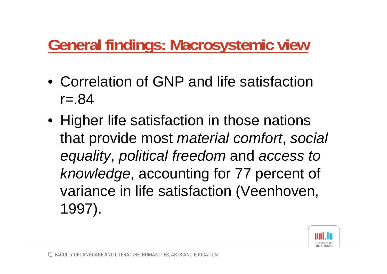# **General findings: Macrosystemic view**

- Correlation of GNP and life satisfaction  $r = .84$
- Higher life satisfaction in those nations that provide most *material comfort*, *social equality*, *political freedom* and *access to knowledge*, accounting for 77 percent of variance in life satisfaction (Veenhoven, 1997).

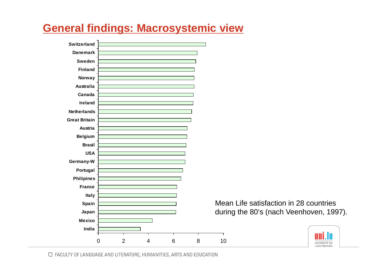#### **General findings: Macrosystemic view**





□ FACULTY OF LANGUAGE AND LITERATURE, HUMANITIES, ARTS AND EDUCATION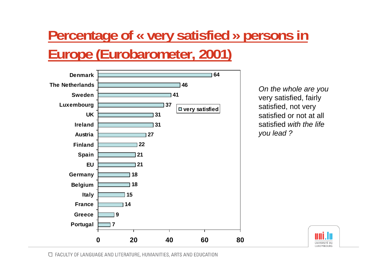### **Percentage of « very satisfied » persons in Europe (Eurobarometer, 2001)**



*On the whole are you*  very satisfied, fairly satisfied, not very satisfied or not at all satisfied *with the life you lead ?* 



□ FACULTY OF LANGUAGE AND LITERATURE, HUMANITIES, ARTS AND EDUCATION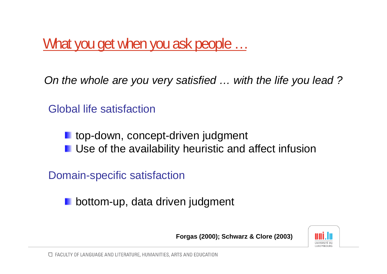What you get when you ask people …

*On the whole are you very satisfied … with the life you lead ?*

Global life satisfaction

**L** top-down, concept-driven judgment

**L** Use of the availability heuristic and affect infusion

Domain-specific satisfaction

bottom-up, data driven judgment

**Forgas (2000); Schwarz & Clore (2003)**

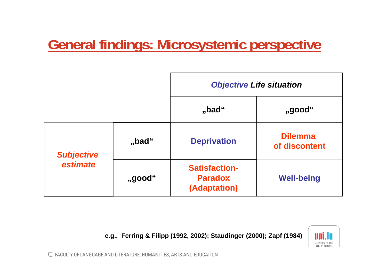#### **General findings: Microsystemic perspective**



**e.g., Ferring & Filipp (1992, 2002); Staudinger (2000); Zapf (1984)**

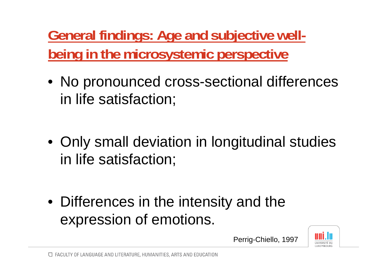**General findings: Age and subjective wellbeing in the microsystemic perspective**

- No pronounced cross-sectional differences in life satisfaction;
- Only small deviation in longitudinal studies in life satisfaction;
- Differences in the intensity and the expression of emotions.

Perrig-Chiello, 1997

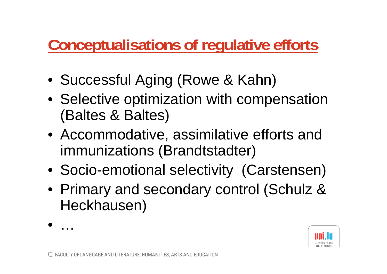# **Conceptualisations of regulative efforts**

- Successful Aging (Rowe & Kahn)
- Selective optimization with compensation (Baltes & Baltes)
- Accommodative, assimilative efforts and immunizations (Brandtstadter)
- Socio-emotional selectivity (Carstensen)
- Primary and secondary control (Schulz & Heckhausen)
- $\bullet$ …

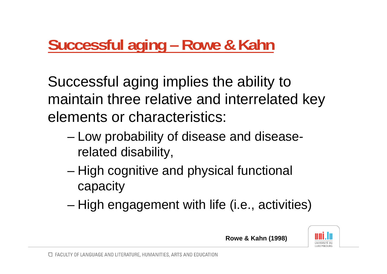## **Successful aging – Rowe & Kahn**

Successful aging implies the ability to maintain three relative and interrelated key elements or characteristics:

- – Low probability of disease and diseaserelated disability,
- – High cognitive and physical functional capacity
- –High engagement with life (i.e., activities)

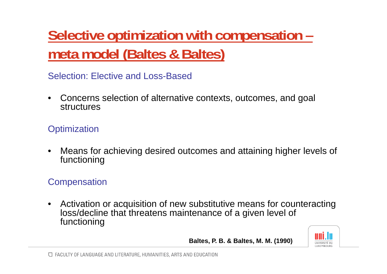**Selective optimization with compensation – meta model (Baltes & Baltes)**

Selection: Elective and Loss-Based

 $\bullet$  Concerns selection of alternative contexts, outcomes, and goal structures

#### **Optimization**

• Means for achieving desired outcomes and attaining higher levels of functioning

#### **Compensation**

• Activation or acquisition of new substitutive means for counteracting loss/decline that threatens maintenance of a given level of functioning

**Baltes, P. B. & Baltes, M. M. (1990)**

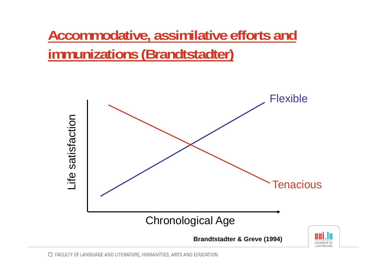**Accommodative, assimilative efforts and immunizations (Brandtstadter)**

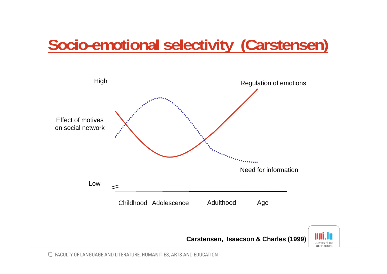# **Socio-emotional selectivity (Carstensen)**



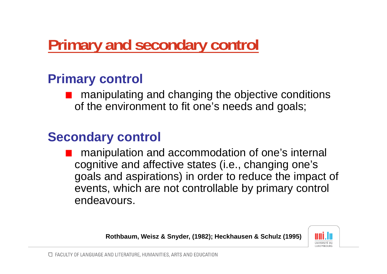# **Primary and secondary control**

#### **Primary control**

manipulating and changing the objective conditions of the environment to fit one's needs and goals;

#### **Secondary control**

manipulation and accommodation of one's internal cognitive and affective states (i.e., changing one's goals and aspirations) in order to reduce the impact of events, which are not controllable by primary control endeavours.

**Rothbaum, Weisz & Snyder, (1982); Heckhausen & Schulz (1995)**

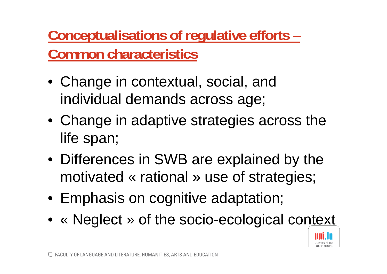**Conceptualisations of regulative efforts – Common characteristics**

- Change in contextual, social, and individual demands across age;
- Change in adaptive strategies across the life span;
- Differences in SWB are explained by the motivated « rational » use of strategies;
- Emphasis on cognitive adaptation;
- « Neglect » of the socio-ecological context

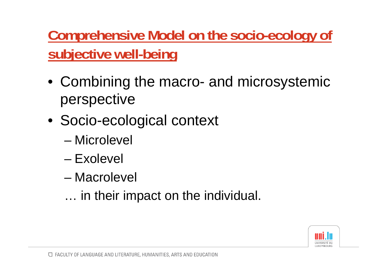**Comprehensive Model on the socio-ecology of subjective well-being**

- Combining the macro- and microsystemic perspective
- Socio-ecological context
	- Microlevel
	- Exolevel
	- Macrolevel
	- … in their impact on the individual.

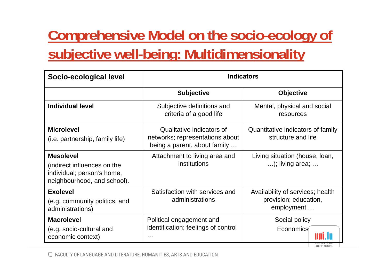## **Comprehensive Model on the socio-ecology of subjective well-being: Multidimensionality**

| Socio-ecological level                                                                                       | <b>Indicators</b>                                                                            |                                                                         |
|--------------------------------------------------------------------------------------------------------------|----------------------------------------------------------------------------------------------|-------------------------------------------------------------------------|
|                                                                                                              | <b>Subjective</b>                                                                            | <b>Objective</b>                                                        |
| <b>Individual level</b>                                                                                      | Subjective definitions and<br>criteria of a good life                                        | Mental, physical and social<br>resources                                |
| <b>Microlevel</b><br>(i.e. partnership, family life)                                                         | Qualitative indicators of<br>networks; representations about<br>being a parent, about family | Quantitative indicators of family<br>structure and life                 |
| <b>Mesolevel</b><br>(indirect influences on the<br>individual; person's home,<br>neighbourhood, and school). | Attachment to living area and<br>institutions                                                | Living situation (house, loan,<br>); living area;                       |
| <b>Exolevel</b><br>(e.g. community politics, and<br>administrations)                                         | Satisfaction with services and<br>administrations                                            | Availability of services; health<br>provision; education,<br>employment |
| <b>Macrolevel</b><br>(e.g. socio-cultural and<br>economic context)                                           | Political engagement and<br>identification; feelings of control<br>$\sim 100$                | Social policy<br>Economics                                              |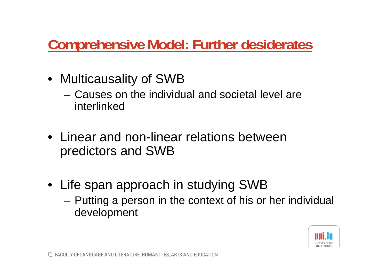#### **Comprehensive Model: Further desiderates**

- Multicausality of SWB
	- Causes on the individual and societal level are interlinked
- Linear and non-linear relations between predictors and SWB
- Life span approach in studying SWB
	- – Putting a person in the context of his or her individual development